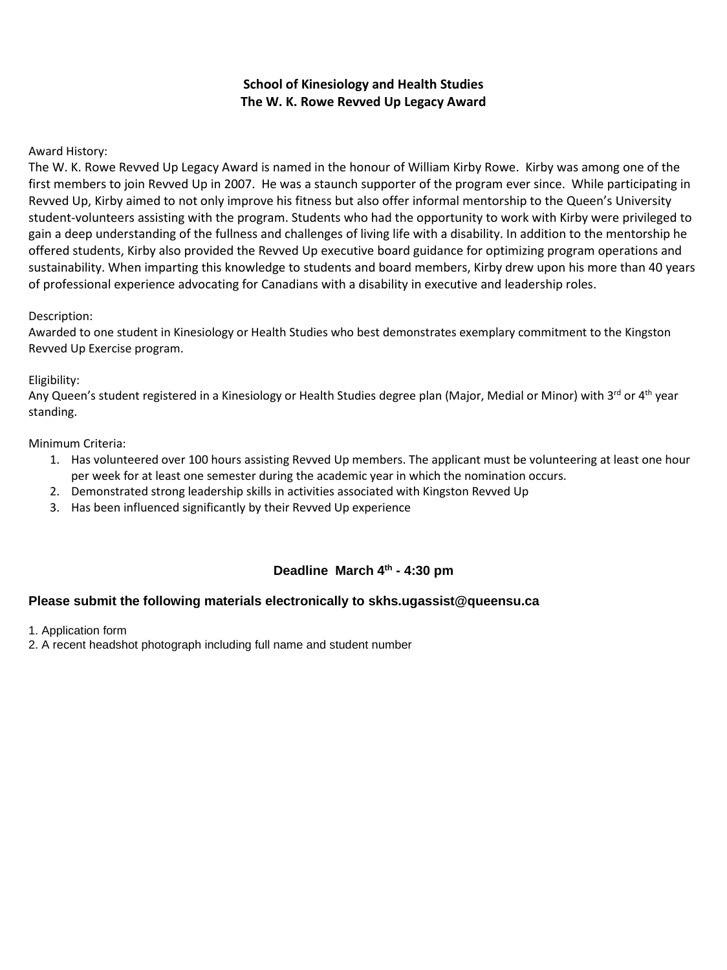## **School of Kinesiology and Health Studies The W. K. Rowe Revved Up Legacy Award**

## Award History:

The W. K. Rowe Revved Up Legacy Award is named in the honour of William Kirby Rowe. Kirby was among one of the first members to join Revved Up in 2007. He was a staunch supporter of the program ever since. While participating in Revved Up, Kirby aimed to not only improve his fitness but also offer informal mentorship to the Queen's University student-volunteers assisting with the program. Students who had the opportunity to work with Kirby were privileged to gain a deep understanding of the fullness and challenges of living life with a disability. In addition to the mentorship he offered students, Kirby also provided the Revved Up executive board guidance for optimizing program operations and sustainability. When imparting this knowledge to students and board members, Kirby drew upon his more than 40 years of professional experience advocating for Canadians with a disability in executive and leadership roles.

## Description:

Awarded to one student in Kinesiology or Health Studies who best demonstrates exemplary commitment to the Kingston Revved Up Exercise program.

## Eligibility:

Any Queen's student registered in a Kinesiology or Health Studies degree plan (Major, Medial or Minor) with 3<sup>rd</sup> or 4<sup>th</sup> year standing.

#### Minimum Criteria:

- 1. Has volunteered over 100 hours assisting Revved Up members. The applicant must be volunteering at least one hour per week for at least one semester during the academic year in which the nomination occurs.
- 2. Demonstrated strong leadership skills in activities associated with Kingston Revved Up
- 3. Has been influenced significantly by their Revved Up experience

# **Deadline March 4th - 4:30 pm**

# **Please submit the following materials electronically to skhs.ugassist@queensu.ca**

- 1. Application form
- 2. A recent headshot photograph including full name and student number